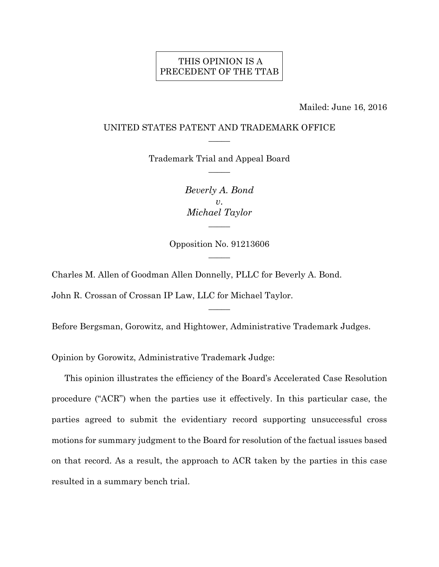## THIS OPINION IS A PRECEDENT OF THE TTAB

Mailed: June 16, 2016

#### UNITED STATES PATENT AND TRADEMARK OFFICE  $\overline{\phantom{a}}$

Trademark Trial and Appeal Board  $\overline{\phantom{a}}$ 

> *Beverly A. Bond v*. *Michael Taylor*   $\overline{\phantom{a}}$

Opposition No. 91213606  $\overline{\phantom{a}}$ 

Charles M. Allen of Goodman Allen Donnelly, PLLC for Beverly A. Bond.

John R. Crossan of Crossan IP Law, LLC for Michael Taylor.

Before Bergsman, Gorowitz, and Hightower, Administrative Trademark Judges.

 $\overline{\phantom{a}}$ 

Opinion by Gorowitz, Administrative Trademark Judge:

This opinion illustrates the efficiency of the Board's Accelerated Case Resolution procedure ("ACR") when the parties use it effectively. In this particular case, the parties agreed to submit the evidentiary record supporting unsuccessful cross motions for summary judgment to the Board for resolution of the factual issues based on that record. As a result, the approach to ACR taken by the parties in this case resulted in a summary bench trial.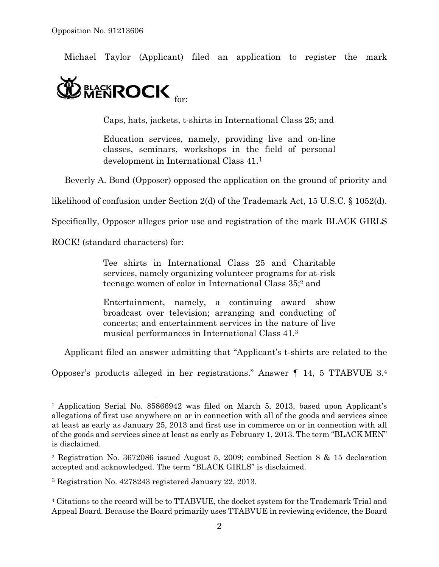Michael Taylor (Applicant) filed an application to register the mark



Caps, hats, jackets, t-shirts in International Class 25; and

Education services, namely, providing live and on-line classes, seminars, workshops in the field of personal development in International Class 41.1

Beverly A. Bond (Opposer) opposed the application on the ground of priority and

likelihood of confusion under Section 2(d) of the Trademark Act, 15 U.S.C. § 1052(d).

Specifically, Opposer alleges prior use and registration of the mark BLACK GIRLS

ROCK! (standard characters) for:

1

Tee shirts in International Class 25 and Charitable services, namely organizing volunteer programs for at-risk teenage women of color in International Class 35;2 and

Entertainment, namely, a continuing award show broadcast over television; arranging and conducting of concerts; and entertainment services in the nature of live musical performances in International Class 41.3

Applicant filed an answer admitting that "Applicant's t-shirts are related to the

Opposer's products alleged in her registrations." Answer ¶ 14, 5 TTABVUE 3.4

<sup>1</sup> Application Serial No. 85866942 was filed on March 5, 2013, based upon Applicant's allegations of first use anywhere on or in connection with all of the goods and services since at least as early as January 25, 2013 and first use in commerce on or in connection with all of the goods and services since at least as early as February 1, 2013. The term "BLACK MEN" is disclaimed.

<sup>2</sup> Registration No. 3672086 issued August 5, 2009; combined Section 8 & 15 declaration accepted and acknowledged. The term "BLACK GIRLS" is disclaimed.

<sup>3</sup> Registration No. 4278243 registered January 22, 2013.

<sup>4</sup> Citations to the record will be to TTABVUE, the docket system for the Trademark Trial and Appeal Board. Because the Board primarily uses TTABVUE in reviewing evidence, the Board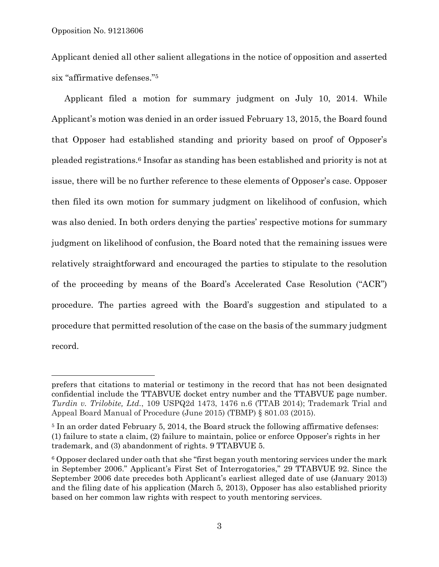$\overline{a}$ 

Applicant denied all other salient allegations in the notice of opposition and asserted six "affirmative defenses."5

Applicant filed a motion for summary judgment on July 10, 2014. While Applicant's motion was denied in an order issued February 13, 2015, the Board found that Opposer had established standing and priority based on proof of Opposer's pleaded registrations.6 Insofar as standing has been established and priority is not at issue, there will be no further reference to these elements of Opposer's case. Opposer then filed its own motion for summary judgment on likelihood of confusion, which was also denied. In both orders denying the parties' respective motions for summary judgment on likelihood of confusion, the Board noted that the remaining issues were relatively straightforward and encouraged the parties to stipulate to the resolution of the proceeding by means of the Board's Accelerated Case Resolution ("ACR") procedure. The parties agreed with the Board's suggestion and stipulated to a procedure that permitted resolution of the case on the basis of the summary judgment record.

prefers that citations to material or testimony in the record that has not been designated confidential include the TTABVUE docket entry number and the TTABVUE page number. *Turdin v. Trilobite, Ltd.*, 109 USPQ2d 1473, 1476 n.6 (TTAB 2014); Trademark Trial and Appeal Board Manual of Procedure (June 2015) (TBMP) § 801.03 (2015).

<sup>&</sup>lt;sup>5</sup> In an order dated February 5, 2014, the Board struck the following affirmative defenses: (1) failure to state a claim, (2) failure to maintain, police or enforce Opposer's rights in her trademark, and (3) abandonment of rights. 9 TTABVUE 5.

<sup>6</sup> Opposer declared under oath that she "first began youth mentoring services under the mark in September 2006." Applicant's First Set of Interrogatories," 29 TTABVUE 92. Since the September 2006 date precedes both Applicant's earliest alleged date of use (January 2013) and the filing date of his application (March 5, 2013), Opposer has also established priority based on her common law rights with respect to youth mentoring services.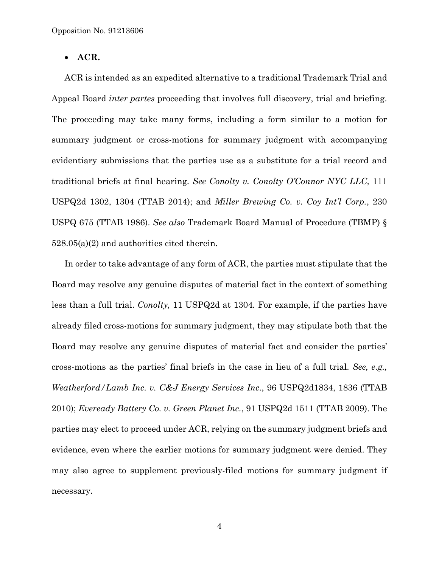• **ACR.**

ACR is intended as an expedited alternative to a traditional Trademark Trial and Appeal Board *inter partes* proceeding that involves full discovery, trial and briefing. The proceeding may take many forms, including a form similar to a motion for summary judgment or cross-motions for summary judgment with accompanying evidentiary submissions that the parties use as a substitute for a trial record and traditional briefs at final hearing. *See Conolty v. Conolty O'Connor NYC LLC,* 111 USPQ2d 1302, 1304 (TTAB 2014); and *Miller Brewing Co. v. Coy Int'l Corp.*, 230 USPQ 675 (TTAB 1986). *See also* Trademark Board Manual of Procedure (TBMP) § 528.05(a)(2) and authorities cited therein.

In order to take advantage of any form of ACR, the parties must stipulate that the Board may resolve any genuine disputes of material fact in the context of something less than a full trial. *Conolty,* 11 USPQ2d at 1304*.* For example, if the parties have already filed cross-motions for summary judgment, they may stipulate both that the Board may resolve any genuine disputes of material fact and consider the parties' cross-motions as the parties' final briefs in the case in lieu of a full trial. *See, e.g., Weatherford/Lamb Inc. v. C&J Energy Services Inc.*, 96 USPQ2d1834, 1836 (TTAB 2010); *Eveready Battery Co. v. Green Planet Inc.*, 91 USPQ2d 1511 (TTAB 2009). The parties may elect to proceed under ACR, relying on the summary judgment briefs and evidence, even where the earlier motions for summary judgment were denied. They may also agree to supplement previously-filed motions for summary judgment if necessary.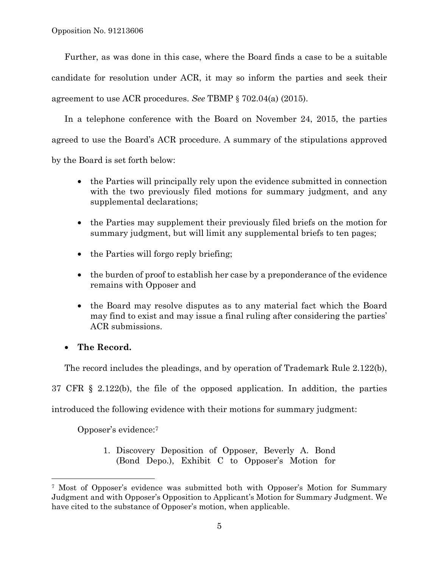Further, as was done in this case, where the Board finds a case to be a suitable candidate for resolution under ACR, it may so inform the parties and seek their agreement to use ACR procedures. *See* TBMP § 702.04(a) (2015).

In a telephone conference with the Board on November 24, 2015, the parties agreed to use the Board's ACR procedure. A summary of the stipulations approved by the Board is set forth below:

- the Parties will principally rely upon the evidence submitted in connection with the two previously filed motions for summary judgment, and any supplemental declarations;
- the Parties may supplement their previously filed briefs on the motion for summary judgment, but will limit any supplemental briefs to ten pages;
- the Parties will forgo reply briefing;
- the burden of proof to establish her case by a preponderance of the evidence remains with Opposer and
- the Board may resolve disputes as to any material fact which the Board may find to exist and may issue a final ruling after considering the parties' ACR submissions.

# • **The Record.**

l

The record includes the pleadings, and by operation of Trademark Rule 2.122(b),

37 CFR § 2.122(b), the file of the opposed application. In addition, the parties

introduced the following evidence with their motions for summary judgment:

Opposer's evidence:7

1. Discovery Deposition of Opposer, Beverly A. Bond (Bond Depo.), Exhibit C to Opposer's Motion for

<sup>7</sup> Most of Opposer's evidence was submitted both with Opposer's Motion for Summary Judgment and with Opposer's Opposition to Applicant's Motion for Summary Judgment. We have cited to the substance of Opposer's motion, when applicable.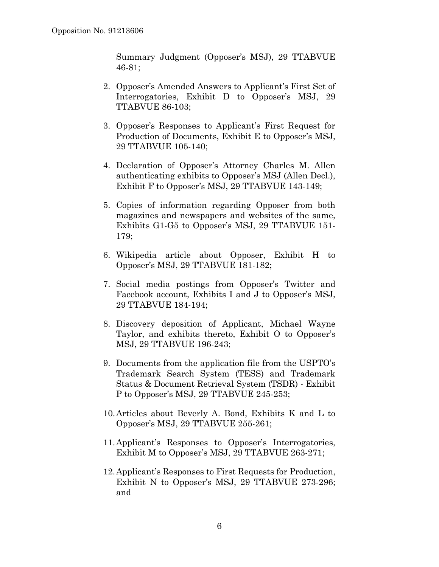Summary Judgment (Opposer's MSJ), 29 TTABVUE 46-81;

- 2. Opposer's Amended Answers to Applicant's First Set of Interrogatories, Exhibit D to Opposer's MSJ, 29 TTABVUE 86-103;
- 3. Opposer's Responses to Applicant's First Request for Production of Documents, Exhibit E to Opposer's MSJ, 29 TTABVUE 105-140;
- 4. Declaration of Opposer's Attorney Charles M. Allen authenticating exhibits to Opposer's MSJ (Allen Decl.), Exhibit F to Opposer's MSJ, 29 TTABVUE 143-149;
- 5. Copies of information regarding Opposer from both magazines and newspapers and websites of the same, Exhibits G1-G5 to Opposer's MSJ, 29 TTABVUE 151- 179;
- 6. Wikipedia article about Opposer, Exhibit H to Opposer's MSJ, 29 TTABVUE 181-182;
- 7. Social media postings from Opposer's Twitter and Facebook account, Exhibits I and J to Opposer's MSJ, 29 TTABVUE 184-194;
- 8. Discovery deposition of Applicant, Michael Wayne Taylor, and exhibits thereto, Exhibit O to Opposer's MSJ, 29 TTABVUE 196-243;
- 9. Documents from the application file from the USPTO's Trademark Search System (TESS) and Trademark Status & Document Retrieval System (TSDR) - Exhibit P to Opposer's MSJ, 29 TTABVUE 245-253;
- 10.Articles about Beverly A. Bond, Exhibits K and L to Opposer's MSJ, 29 TTABVUE 255-261;
- 11.Applicant's Responses to Opposer's Interrogatories, Exhibit M to Opposer's MSJ, 29 TTABVUE 263-271;
- 12.Applicant's Responses to First Requests for Production, Exhibit N to Opposer's MSJ, 29 TTABVUE 273-296; and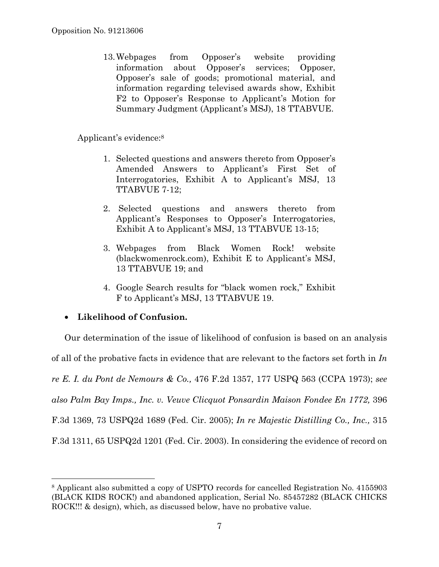13.Webpages from Opposer's website providing information about Opposer's services; Opposer, Opposer's sale of goods; promotional material, and information regarding televised awards show, Exhibit F2 to Opposer's Response to Applicant's Motion for Summary Judgment (Applicant's MSJ), 18 TTABVUE.

Applicant's evidence:8

- 1. Selected questions and answers thereto from Opposer's Amended Answers to Applicant's First Set of Interrogatories, Exhibit A to Applicant's MSJ, 13 TTABVUE 7-12;
- 2. Selected questions and answers thereto from Applicant's Responses to Opposer's Interrogatories, Exhibit A to Applicant's MSJ, 13 TTABVUE 13-15;
- 3. Webpages from Black Women Rock! website (blackwomenrock.com), Exhibit E to Applicant's MSJ, 13 TTABVUE 19; and
- 4. Google Search results for "black women rock," Exhibit F to Applicant's MSJ, 13 TTABVUE 19.

# • **Likelihood of Confusion.**

 $\overline{a}$ 

Our determination of the issue of likelihood of confusion is based on an analysis of all of the probative facts in evidence that are relevant to the factors set forth in *In re E. I. du Pont de Nemours & Co.,* 476 F.2d 1357, 177 USPQ 563 (CCPA 1973); *see also Palm Bay Imps., Inc. v. Veuve Clicquot Ponsardin Maison Fondee En 1772,* 396 F.3d 1369, 73 USPQ2d 1689 (Fed. Cir. 2005); *In re Majestic Distilling Co., Inc.,* 315 F.3d 1311, 65 USPQ2d 1201 (Fed. Cir. 2003). In considering the evidence of record on

<sup>8</sup> Applicant also submitted a copy of USPTO records for cancelled Registration No. 4155903 (BLACK KIDS ROCK!) and abandoned application, Serial No. 85457282 (BLACK CHICKS ROCK!!! & design), which, as discussed below, have no probative value.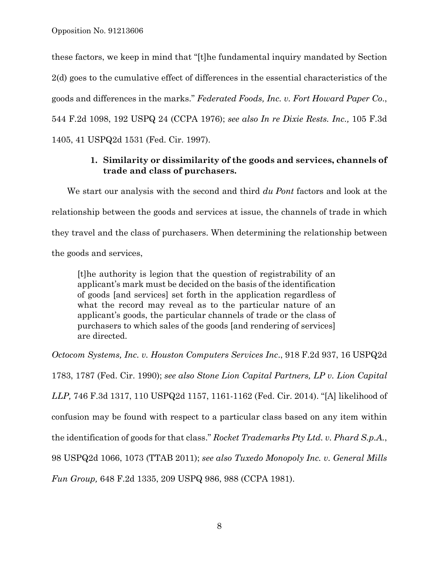these factors, we keep in mind that "[t]he fundamental inquiry mandated by Section 2(d) goes to the cumulative effect of differences in the essential characteristics of the goods and differences in the marks." *Federated Foods, Inc. v. Fort Howard Paper Co*., 544 F.2d 1098, 192 USPQ 24 (CCPA 1976); *see also In re Dixie Rests. Inc.,* 105 F.3d 1405, 41 USPQ2d 1531 (Fed. Cir. 1997).

## **1. Similarity or dissimilarity of the goods and services, channels of trade and class of purchasers.**

We start our analysis with the second and third *du Pont* factors and look at the relationship between the goods and services at issue, the channels of trade in which they travel and the class of purchasers. When determining the relationship between the goods and services,

[t]he authority is legion that the question of registrability of an applicant's mark must be decided on the basis of the identification of goods [and services] set forth in the application regardless of what the record may reveal as to the particular nature of an applicant's goods, the particular channels of trade or the class of purchasers to which sales of the goods [and rendering of services] are directed.

*Octocom Systems, Inc. v. Houston Computers Services Inc*., 918 F.2d 937, 16 USPQ2d

1783, 1787 (Fed. Cir. 1990); *see also Stone Lion Capital Partners, LP v. Lion Capital LLP,* 746 F.3d 1317, 110 USPQ2d 1157, 1161-1162 (Fed. Cir. 2014). "[A] likelihood of confusion may be found with respect to a particular class based on any item within the identification of goods for that class." *Rocket Trademarks Pty Ltd. v. Phard S.p.A.*, 98 USPQ2d 1066, 1073 (TTAB 2011); *see also Tuxedo Monopoly Inc. v. General Mills Fun Group,* 648 F.2d 1335, 209 USPQ 986, 988 (CCPA 1981).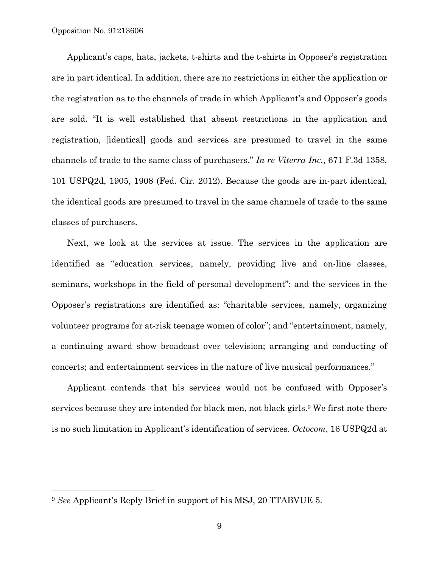Applicant's caps, hats, jackets, t-shirts and the t-shirts in Opposer's registration are in part identical. In addition, there are no restrictions in either the application or the registration as to the channels of trade in which Applicant's and Opposer's goods are sold. "It is well established that absent restrictions in the application and registration, [identical] goods and services are presumed to travel in the same channels of trade to the same class of purchasers." *In re Viterra Inc.*, 671 F.3d 1358, 101 USPQ2d, 1905, 1908 (Fed. Cir. 2012). Because the goods are in-part identical, the identical goods are presumed to travel in the same channels of trade to the same classes of purchasers.

Next, we look at the services at issue. The services in the application are identified as "education services, namely, providing live and on-line classes, seminars, workshops in the field of personal development"; and the services in the Opposer's registrations are identified as: "charitable services, namely, organizing volunteer programs for at-risk teenage women of color"; and "entertainment, namely, a continuing award show broadcast over television; arranging and conducting of concerts; and entertainment services in the nature of live musical performances."

Applicant contends that his services would not be confused with Opposer's services because they are intended for black men, not black girls.9 We first note there is no such limitation in Applicant's identification of services. *Octocom*, 16 USPQ2d at

l

<sup>9</sup> *See* Applicant's Reply Brief in support of his MSJ, 20 TTABVUE 5.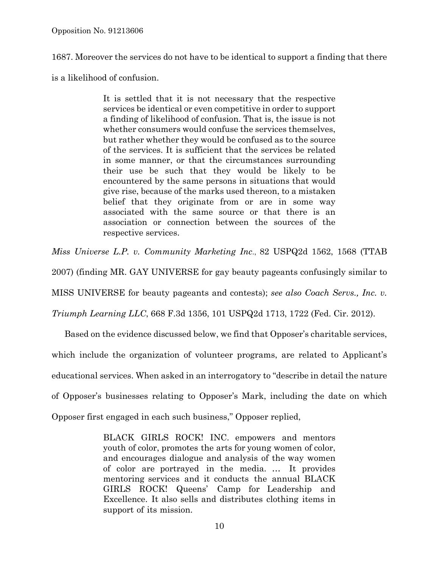1687. Moreover the services do not have to be identical to support a finding that there

is a likelihood of confusion.

It is settled that it is not necessary that the respective services be identical or even competitive in order to support a finding of likelihood of confusion. That is, the issue is not whether consumers would confuse the services themselves, but rather whether they would be confused as to the source of the services. It is sufficient that the services be related in some manner, or that the circumstances surrounding their use be such that they would be likely to be encountered by the same persons in situations that would give rise, because of the marks used thereon, to a mistaken belief that they originate from or are in some way associated with the same source or that there is an association or connection between the sources of the respective services.

*Miss Universe L.P. v. Community Marketing Inc*., 82 USPQ2d 1562, 1568 (TTAB

2007) (finding MR. GAY UNIVERSE for gay beauty pageants confusingly similar to

MISS UNIVERSE for beauty pageants and contests); *see also Coach Servs., Inc. v.* 

*Triumph Learning LLC*, 668 F.3d 1356, 101 USPQ2d 1713, 1722 (Fed. Cir. 2012).

Based on the evidence discussed below, we find that Opposer's charitable services, which include the organization of volunteer programs, are related to Applicant's educational services. When asked in an interrogatory to "describe in detail the nature of Opposer's businesses relating to Opposer's Mark, including the date on which Opposer first engaged in each such business," Opposer replied,

> BLACK GIRLS ROCK! INC. empowers and mentors youth of color, promotes the arts for young women of color, and encourages dialogue and analysis of the way women of color are portrayed in the media. … It provides mentoring services and it conducts the annual BLACK GIRLS ROCK! Queens' Camp for Leadership and Excellence. It also sells and distributes clothing items in support of its mission.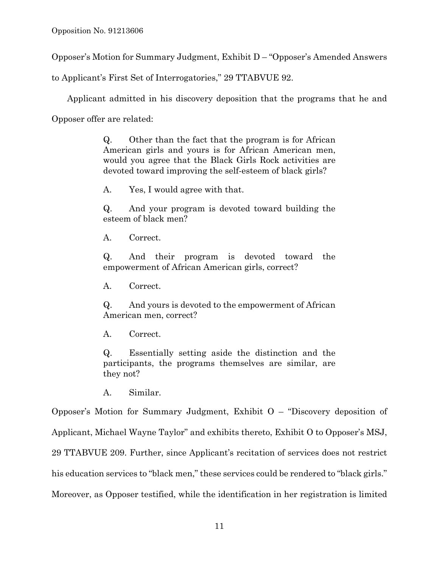Opposer's Motion for Summary Judgment, Exhibit D – "Opposer's Amended Answers

to Applicant's First Set of Interrogatories," 29 TTABVUE 92.

Applicant admitted in his discovery deposition that the programs that he and

Opposer offer are related:

Q. Other than the fact that the program is for African American girls and yours is for African American men, would you agree that the Black Girls Rock activities are devoted toward improving the self-esteem of black girls?

A. Yes, I would agree with that.

Q. And your program is devoted toward building the esteem of black men?

A. Correct.

Q. And their program is devoted toward the empowerment of African American girls, correct?

A. Correct.

Q. And yours is devoted to the empowerment of African American men, correct?

A. Correct.

Q. Essentially setting aside the distinction and the participants, the programs themselves are similar, are they not?

A. Similar.

Opposer's Motion for Summary Judgment, Exhibit O – "Discovery deposition of Applicant, Michael Wayne Taylor" and exhibits thereto, Exhibit O to Opposer's MSJ, 29 TTABVUE 209. Further, since Applicant's recitation of services does not restrict his education services to "black men," these services could be rendered to "black girls." Moreover, as Opposer testified, while the identification in her registration is limited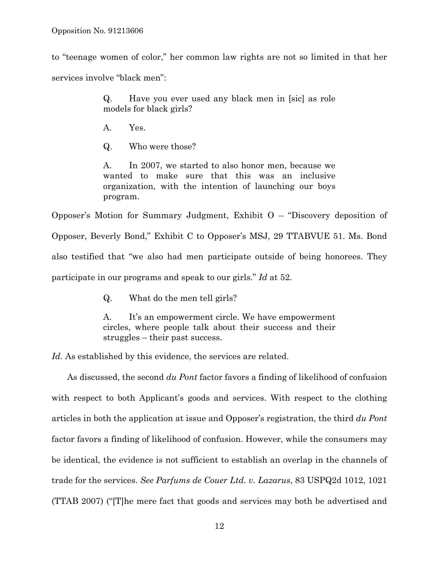to "teenage women of color," her common law rights are not so limited in that her services involve "black men":

> Q. Have you ever used any black men in [sic] as role models for black girls?

A. Yes.

Q. Who were those?

A. In 2007, we started to also honor men, because we wanted to make sure that this was an inclusive organization, with the intention of launching our boys program.

Opposer's Motion for Summary Judgment, Exhibit O – "Discovery deposition of Opposer, Beverly Bond," Exhibit C to Opposer's MSJ, 29 TTABVUE 51. Ms. Bond also testified that "we also had men participate outside of being honorees. They participate in our programs and speak to our girls." *Id* at 52.

Q. What do the men tell girls?

A. It's an empowerment circle. We have empowerment circles, where people talk about their success and their struggles – their past success.

Id. As established by this evidence, the services are related.

As discussed, the second *du Pont* factor favors a finding of likelihood of confusion with respect to both Applicant's goods and services. With respect to the clothing articles in both the application at issue and Opposer's registration, the third *du Pont*  factor favors a finding of likelihood of confusion. However, while the consumers may be identical, the evidence is not sufficient to establish an overlap in the channels of trade for the services. *See Parfums de Couer Ltd. v. Lazarus*, 83 USPQ2d 1012, 1021 (TTAB 2007) ("[T]he mere fact that goods and services may both be advertised and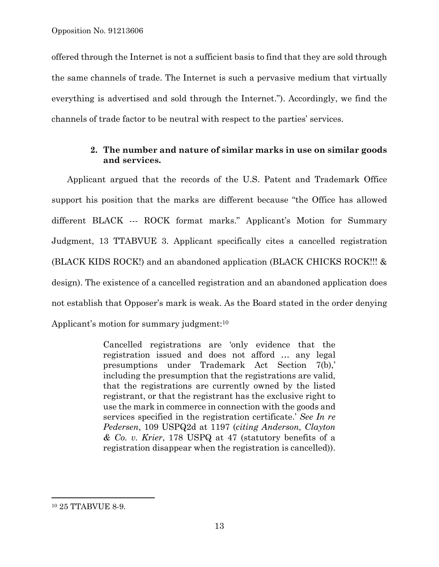offered through the Internet is not a sufficient basis to find that they are sold through the same channels of trade. The Internet is such a pervasive medium that virtually everything is advertised and sold through the Internet."). Accordingly, we find the channels of trade factor to be neutral with respect to the parties' services.

#### **2. The number and nature of similar marks in use on similar goods and services.**

Applicant argued that the records of the U.S. Patent and Trademark Office support his position that the marks are different because "the Office has allowed different BLACK --- ROCK format marks." Applicant's Motion for Summary Judgment, 13 TTABVUE 3. Applicant specifically cites a cancelled registration (BLACK KIDS ROCK!) and an abandoned application (BLACK CHICKS ROCK!!! & design). The existence of a cancelled registration and an abandoned application does not establish that Opposer's mark is weak. As the Board stated in the order denying Applicant's motion for summary judgment:<sup>10</sup>

> Cancelled registrations are 'only evidence that the registration issued and does not afford … any legal presumptions under Trademark Act Section 7(b),' including the presumption that the registrations are valid, that the registrations are currently owned by the listed registrant, or that the registrant has the exclusive right to use the mark in commerce in connection with the goods and services specified in the registration certificate.' *See In re Pedersen*, 109 USPQ2d at 1197 (*citing Anderson, Clayton & Co. v. Krier*, 178 USPQ at 47 (statutory benefits of a registration disappear when the registration is cancelled)).

1

<sup>10 25</sup> TTABVUE 8-9.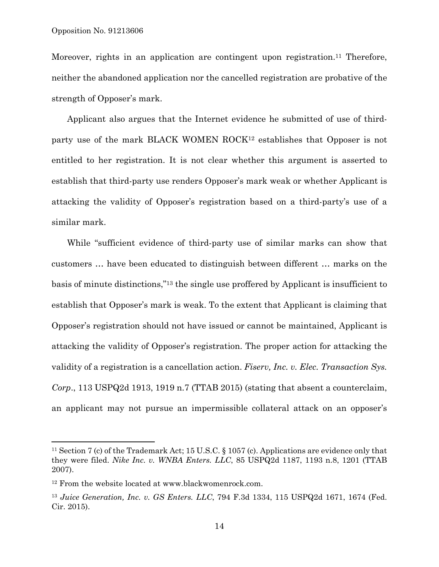Moreover, rights in an application are contingent upon registration.<sup>11</sup> Therefore, neither the abandoned application nor the cancelled registration are probative of the strength of Opposer's mark.

Applicant also argues that the Internet evidence he submitted of use of thirdparty use of the mark BLACK WOMEN ROCK12 establishes that Opposer is not entitled to her registration. It is not clear whether this argument is asserted to establish that third-party use renders Opposer's mark weak or whether Applicant is attacking the validity of Opposer's registration based on a third-party's use of a similar mark.

While "sufficient evidence of third-party use of similar marks can show that customers … have been educated to distinguish between different … marks on the basis of minute distinctions,"13 the single use proffered by Applicant is insufficient to establish that Opposer's mark is weak. To the extent that Applicant is claiming that Opposer's registration should not have issued or cannot be maintained, Applicant is attacking the validity of Opposer's registration. The proper action for attacking the validity of a registration is a cancellation action. *Fiserv, Inc. v. Elec. Transaction Sys. Corp*., 113 USPQ2d 1913, 1919 n.7 (TTAB 2015) (stating that absent a counterclaim, an applicant may not pursue an impermissible collateral attack on an opposer's

1

<sup>11</sup> Section 7 (c) of the Trademark Act; 15 U.S.C. § 1057 (c). Applications are evidence only that they were filed. *Nike Inc. v. WNBA Enters. LLC*, 85 USPQ2d 1187, 1193 n.8, 1201 (TTAB 2007).

<sup>12</sup> From the website located at www.blackwomenrock.com.

<sup>13</sup> *Juice Generation, Inc. v. GS Enters. LLC*, 794 F.3d 1334, 115 USPQ2d 1671, 1674 (Fed. Cir. 2015).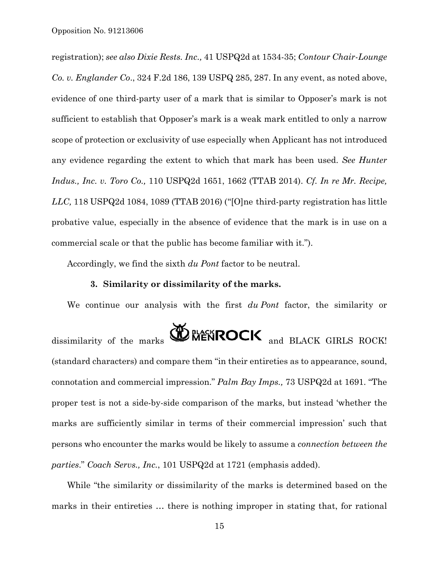registration); *see also Dixie Rests. Inc.,* 41 USPQ2d at 1534-35; *Contour Chair-Lounge Co. v. Englander Co*., 324 F.2d 186, 139 USPQ 285, 287. In any event, as noted above, evidence of one third-party user of a mark that is similar to Opposer's mark is not sufficient to establish that Opposer's mark is a weak mark entitled to only a narrow scope of protection or exclusivity of use especially when Applicant has not introduced any evidence regarding the extent to which that mark has been used. *See Hunter Indus., Inc. v. Toro Co.,* 110 USPQ2d 1651, 1662 (TTAB 2014). *Cf. In re Mr. Recipe, LLC,* 118 USPQ2d 1084, 1089 (TTAB 2016) ("[O]ne third-party registration has little probative value, especially in the absence of evidence that the mark is in use on a commercial scale or that the public has become familiar with it.").

Accordingly, we find the sixth *du Pont* factor to be neutral.

#### **3. Similarity or dissimilarity of the marks.**

We continue our analysis with the first *du Pont* factor, the similarity or

dissimilarity of the marks  $\bigcirc$  MENROCK and BLACK GIRLS ROCK! (standard characters) and compare them "in their entireties as to appearance, sound, connotation and commercial impression." *Palm Bay Imps.,* 73 USPQ2d at 1691. "The proper test is not a side-by-side comparison of the marks, but instead 'whether the marks are sufficiently similar in terms of their commercial impression' such that persons who encounter the marks would be likely to assume a *connection between the parties*." *Coach Servs., Inc.*, 101 USPQ2d at 1721 (emphasis added).

While "the similarity or dissimilarity of the marks is determined based on the marks in their entireties … there is nothing improper in stating that, for rational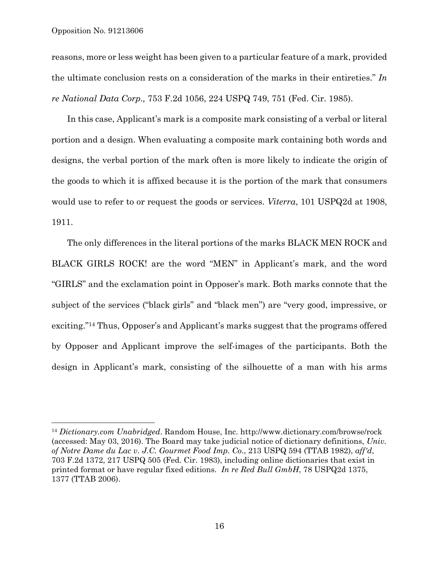$\overline{a}$ 

reasons, more or less weight has been given to a particular feature of a mark, provided the ultimate conclusion rests on a consideration of the marks in their entireties." *In re National Data Corp.,* 753 F.2d 1056, 224 USPQ 749, 751 (Fed. Cir. 1985).

In this case, Applicant's mark is a composite mark consisting of a verbal or literal portion and a design. When evaluating a composite mark containing both words and designs, the verbal portion of the mark often is more likely to indicate the origin of the goods to which it is affixed because it is the portion of the mark that consumers would use to refer to or request the goods or services. *Viterra*, 101 USPQ2d at 1908, 1911.

The only differences in the literal portions of the marks BLACK MEN ROCK and BLACK GIRLS ROCK! are the word "MEN" in Applicant's mark, and the word "GIRLS" and the exclamation point in Opposer's mark. Both marks connote that the subject of the services ("black girls" and "black men") are "very good, impressive, or exciting."14 Thus, Opposer's and Applicant's marks suggest that the programs offered by Opposer and Applicant improve the self-images of the participants. Both the design in Applicant's mark, consisting of the silhouette of a man with his arms

<sup>14</sup> *Dictionary.com Unabridged*. Random House, Inc. http://www.dictionary.com/browse/rock (accessed: May 03, 2016). The Board may take judicial notice of dictionary definitions, *Univ. of Notre Dame du Lac v. J.C. Gourmet Food Imp. Co*., 213 USPQ 594 (TTAB 1982), *aff'd*, 703 F.2d 1372, 217 USPQ 505 (Fed. Cir. 1983), including online dictionaries that exist in printed format or have regular fixed editions. *In re Red Bull GmbH*, 78 USPQ2d 1375, 1377 (TTAB 2006).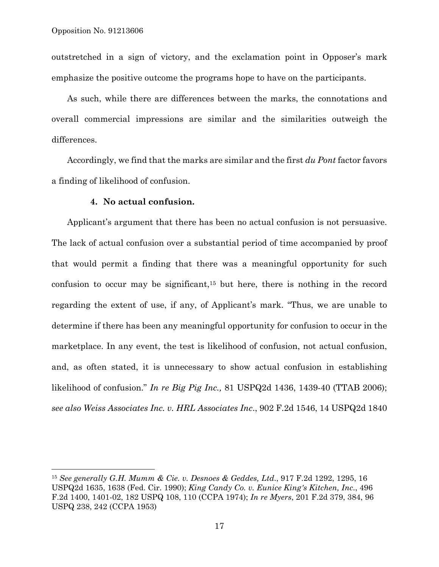$\overline{a}$ 

outstretched in a sign of victory, and the exclamation point in Opposer's mark emphasize the positive outcome the programs hope to have on the participants.

As such, while there are differences between the marks, the connotations and overall commercial impressions are similar and the similarities outweigh the differences.

Accordingly, we find that the marks are similar and the first *du Pont* factor favors a finding of likelihood of confusion.

#### **4. No actual confusion.**

Applicant's argument that there has been no actual confusion is not persuasive. The lack of actual confusion over a substantial period of time accompanied by proof that would permit a finding that there was a meaningful opportunity for such confusion to occur may be significant,<sup>15</sup> but here, there is nothing in the record regarding the extent of use, if any, of Applicant's mark. "Thus, we are unable to determine if there has been any meaningful opportunity for confusion to occur in the marketplace. In any event, the test is likelihood of confusion, not actual confusion, and, as often stated, it is unnecessary to show actual confusion in establishing likelihood of confusion." *In re Big Pig Inc.,* 81 USPQ2d 1436, 1439-40 (TTAB 2006); *see also Weiss Associates Inc. v. HRL Associates Inc*., 902 F.2d 1546, 14 USPQ2d 1840

<sup>15</sup> *See generally G.H. Mumm & Cie. v. Desnoes & Geddes, Ltd*., 917 F.2d 1292, 1295, 16 USPQ2d 1635, 1638 (Fed. Cir. 1990); *King Candy Co. v. Eunice King's Kitchen, Inc*., 496 F.2d 1400, 1401-02, 182 USPQ 108, 110 (CCPA 1974); *In re Myers*, 201 F.2d 379, 384, 96 USPQ 238, 242 (CCPA 1953)